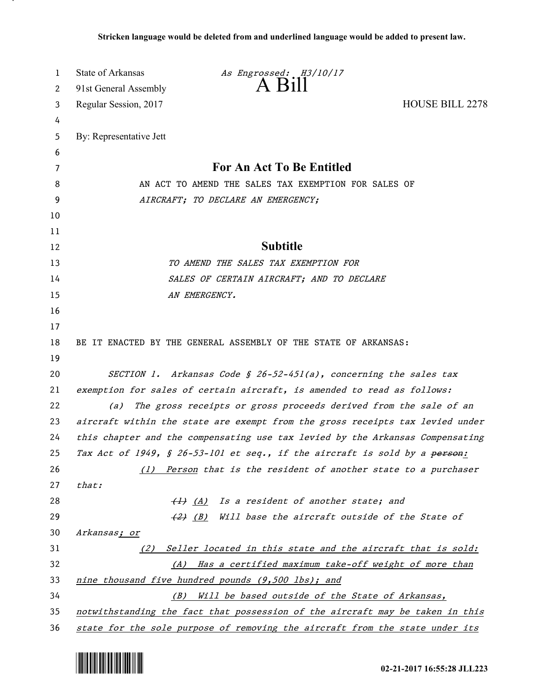| 1  | State of Arkansas                                                             | As Engrossed: H3/10/17                                                                 |                        |
|----|-------------------------------------------------------------------------------|----------------------------------------------------------------------------------------|------------------------|
| 2  | 91st General Assembly                                                         | $A$ $H1$                                                                               |                        |
| 3  | Regular Session, 2017                                                         |                                                                                        | <b>HOUSE BILL 2278</b> |
| 4  |                                                                               |                                                                                        |                        |
| 5  | By: Representative Jett                                                       |                                                                                        |                        |
| 6  |                                                                               |                                                                                        |                        |
| 7  | For An Act To Be Entitled                                                     |                                                                                        |                        |
| 8  | AN ACT TO AMEND THE SALES TAX EXEMPTION FOR SALES OF                          |                                                                                        |                        |
| 9  | AIRCRAFT; TO DECLARE AN EMERGENCY;                                            |                                                                                        |                        |
| 10 |                                                                               |                                                                                        |                        |
| 11 |                                                                               |                                                                                        |                        |
| 12 |                                                                               | <b>Subtitle</b>                                                                        |                        |
| 13 |                                                                               | TO AMEND THE SALES TAX EXEMPTION FOR                                                   |                        |
| 14 |                                                                               | SALES OF CERTAIN AIRCRAFT; AND TO DECLARE                                              |                        |
| 15 |                                                                               | AN EMERGENCY.                                                                          |                        |
| 16 |                                                                               |                                                                                        |                        |
| 17 |                                                                               |                                                                                        |                        |
| 18 | BE IT ENACTED BY THE GENERAL ASSEMBLY OF THE STATE OF ARKANSAS:               |                                                                                        |                        |
| 19 |                                                                               |                                                                                        |                        |
| 20 |                                                                               | SECTION 1. Arkansas Code § 26-52-451(a), concerning the sales tax                      |                        |
| 21 | exemption for sales of certain aircraft, is amended to read as follows:       |                                                                                        |                        |
| 22 | (a)                                                                           | The gross receipts or gross proceeds derived from the sale of an                       |                        |
| 23 | aircraft within the state are exempt from the gross receipts tax levied under |                                                                                        |                        |
| 24 |                                                                               | this chapter and the compensating use tax levied by the Arkansas Compensating          |                        |
| 25 |                                                                               | Tax Act of 1949, § 26-53-101 et seq., if the aircraft is sold by a <del>person</del> : |                        |
| 26 | (1)                                                                           | Person that is the resident of another state to a purchaser                            |                        |
| 27 | that:                                                                         |                                                                                        |                        |
| 28 | $\leftrightarrow$ (A)                                                         | Is a resident of another state; and                                                    |                        |
| 29 | $\left(\frac{2}{2}\right)$ ( <i>B</i> )                                       | Will base the aircraft outside of the State of                                         |                        |
| 30 | Arkansas; or                                                                  |                                                                                        |                        |
| 31 | (2)                                                                           | Seller located in this state and the aircraft that is sold:                            |                        |
| 32 | (A)                                                                           | Has a certified maximum take-off weight of more than                                   |                        |
| 33 |                                                                               | <u>nine thousand five hundred pounds (9,500 lbs); and</u>                              |                        |
| 34 | (B)                                                                           | Will be based outside of the State of Arkansas,                                        |                        |
| 35 | notwithstanding the fact that possession of the aircraft may be taken in this |                                                                                        |                        |
| 36 |                                                                               | state for the sole purpose of removing the aircraft from the state under its           |                        |



.